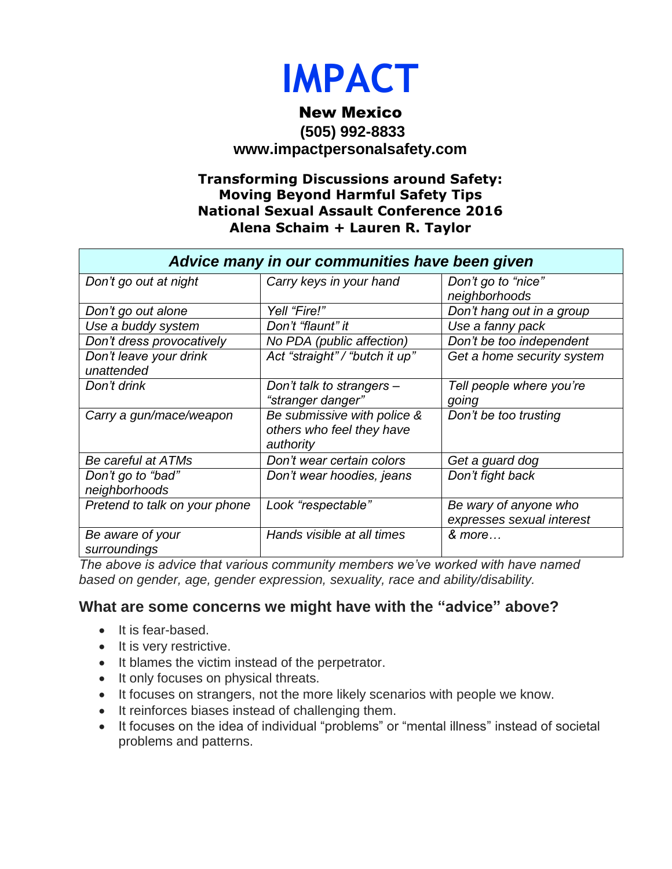

## New Mexico **(505) 992-8833 [www.impactpersonalsafety.com](http://www.impactpersonalsafety.com/)**

#### **Transforming Discussions around Safety: Moving Beyond Harmful Safety Tips National Sexual Assault Conference 2016 Alena Schaim + Lauren R. Taylor**

| Advice many in our communities have been given |                                |                            |
|------------------------------------------------|--------------------------------|----------------------------|
| Don't go out at night                          | Carry keys in your hand        | Don't go to "nice"         |
|                                                |                                | neighborhoods              |
| Don't go out alone                             | Yell "Fire!"                   | Don't hang out in a group  |
| Use a buddy system                             | Don't "flaunt" it              | Use a fanny pack           |
| Don't dress provocatively                      | No PDA (public affection)      | Don't be too independent   |
| Don't leave your drink                         | Act "straight" / "butch it up" | Get a home security system |
| unattended                                     |                                |                            |
| Don't drink                                    | Don't talk to strangers -      | Tell people where you're   |
|                                                | "stranger danger"              | going                      |
| Carry a gun/mace/weapon                        | Be submissive with police &    | Don't be too trusting      |
|                                                | others who feel they have      |                            |
|                                                | authority                      |                            |
| Be careful at ATMs                             | Don't wear certain colors      | Get a guard dog            |
| Don't go to "bad"                              | Don't wear hoodies, jeans      | Don't fight back           |
| neighborhoods                                  |                                |                            |
| Pretend to talk on your phone                  | Look "respectable"             | Be wary of anyone who      |
|                                                |                                | expresses sexual interest  |
| Be aware of your                               | Hands visible at all times     | & more                     |
| surroundings                                   |                                |                            |

*The above is advice that various community members we've worked with have named based on gender, age, gender expression, sexuality, race and ability/disability.*

### **What are some concerns we might have with the "advice" above?**

- It is fear-based.
- It is very restrictive.
- It blames the victim instead of the perpetrator.
- It only focuses on physical threats.
- It focuses on strangers, not the more likely scenarios with people we know.
- It reinforces biases instead of challenging them.
- It focuses on the idea of individual "problems" or "mental illness" instead of societal problems and patterns.